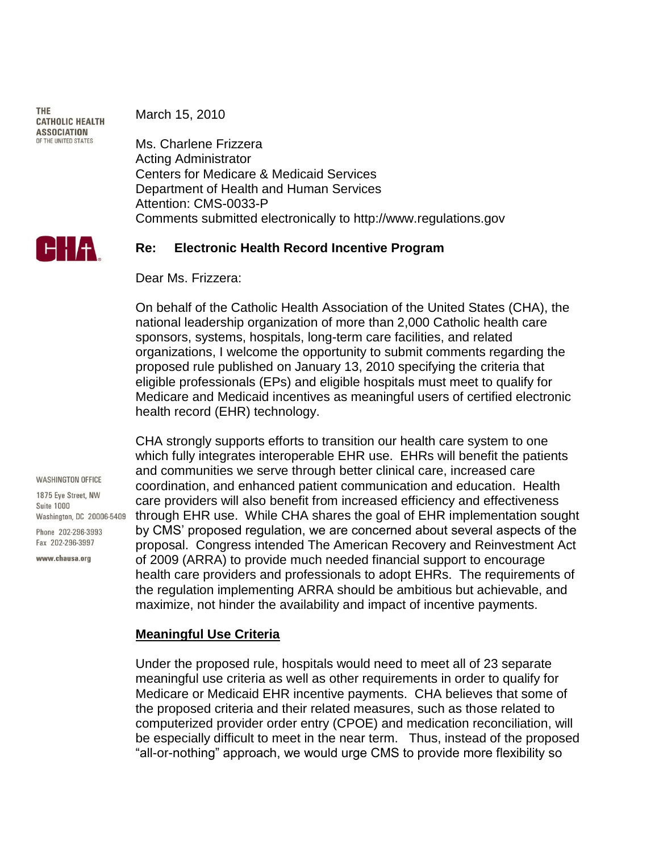**THE CATHOLIC HEALTH ASSOCIATION** OF THE UNITED STATES

March 15, 2010

Ms. Charlene Frizzera Acting Administrator Centers for Medicare & Medicaid Services Department of Health and Human Services Attention: CMS-0033-P Comments submitted electronically to http://www.regulations.gov



### **Re: Electronic Health Record Incentive Program**

Dear Ms. Frizzera:

On behalf of the Catholic Health Association of the United States (CHA), the national leadership organization of more than 2,000 Catholic health care sponsors, systems, hospitals, long-term care facilities, and related organizations, I welcome the opportunity to submit comments regarding the proposed rule published on January 13, 2010 specifying the criteria that eligible professionals (EPs) and eligible hospitals must meet to qualify for Medicare and Medicaid incentives as meaningful users of certified electronic health record (EHR) technology.

CHA strongly supports efforts to transition our health care system to one which fully integrates interoperable EHR use. EHRs will benefit the patients and communities we serve through better clinical care, increased care coordination, and enhanced patient communication and education. Health care providers will also benefit from increased efficiency and effectiveness through EHR use. While CHA shares the goal of EHR implementation sought by CMS' proposed regulation, we are concerned about several aspects of the proposal. Congress intended The American Recovery and Reinvestment Act of 2009 (ARRA) to provide much needed financial support to encourage health care providers and professionals to adopt EHRs. The requirements of the regulation implementing ARRA should be ambitious but achievable, and maximize, not hinder the availability and impact of incentive payments.

## **Meaningful Use Criteria**

Under the proposed rule, hospitals would need to meet all of 23 separate meaningful use criteria as well as other requirements in order to qualify for Medicare or Medicaid EHR incentive payments. CHA believes that some of the proposed criteria and their related measures, such as those related to computerized provider order entry (CPOE) and medication reconciliation, will be especially difficult to meet in the near term. Thus, instead of the proposed "all-or-nothing" approach, we would urge CMS to provide more flexibility so

**WASHINGTON OFFICE** 

1875 Eve Street NW **Suite 1000** Washington, DC 20006-5409

Phone 202-296-3993 Fax 202-296-3997

www.chausa.org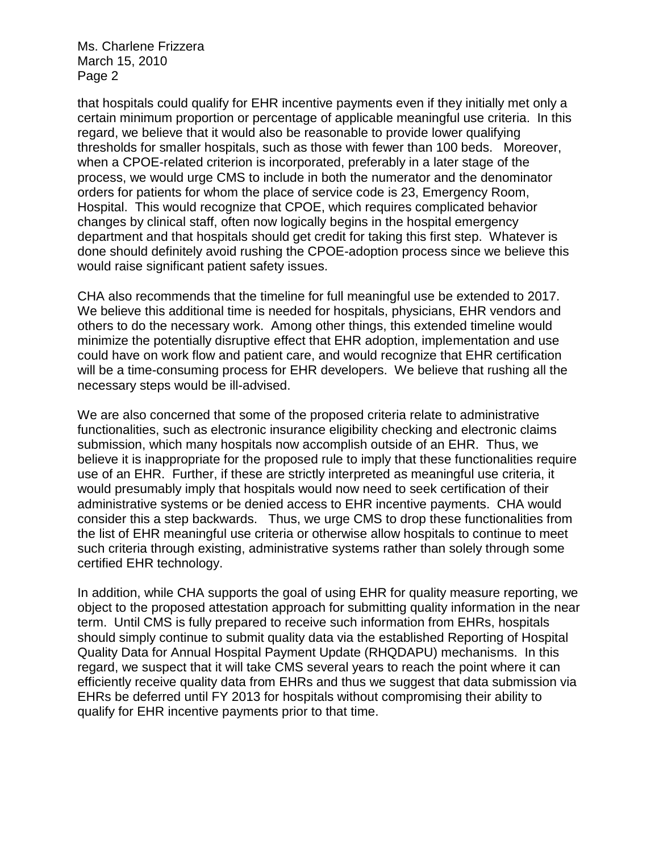that hospitals could qualify for EHR incentive payments even if they initially met only a certain minimum proportion or percentage of applicable meaningful use criteria. In this regard, we believe that it would also be reasonable to provide lower qualifying thresholds for smaller hospitals, such as those with fewer than 100 beds. Moreover, when a CPOE-related criterion is incorporated, preferably in a later stage of the process, we would urge CMS to include in both the numerator and the denominator orders for patients for whom the place of service code is 23, Emergency Room, Hospital. This would recognize that CPOE, which requires complicated behavior changes by clinical staff, often now logically begins in the hospital emergency department and that hospitals should get credit for taking this first step. Whatever is done should definitely avoid rushing the CPOE-adoption process since we believe this would raise significant patient safety issues.

CHA also recommends that the timeline for full meaningful use be extended to 2017. We believe this additional time is needed for hospitals, physicians, EHR vendors and others to do the necessary work. Among other things, this extended timeline would minimize the potentially disruptive effect that EHR adoption, implementation and use could have on work flow and patient care, and would recognize that EHR certification will be a time-consuming process for EHR developers. We believe that rushing all the necessary steps would be ill-advised.

We are also concerned that some of the proposed criteria relate to administrative functionalities, such as electronic insurance eligibility checking and electronic claims submission, which many hospitals now accomplish outside of an EHR. Thus, we believe it is inappropriate for the proposed rule to imply that these functionalities require use of an EHR. Further, if these are strictly interpreted as meaningful use criteria, it would presumably imply that hospitals would now need to seek certification of their administrative systems or be denied access to EHR incentive payments. CHA would consider this a step backwards. Thus, we urge CMS to drop these functionalities from the list of EHR meaningful use criteria or otherwise allow hospitals to continue to meet such criteria through existing, administrative systems rather than solely through some certified EHR technology.

In addition, while CHA supports the goal of using EHR for quality measure reporting, we object to the proposed attestation approach for submitting quality information in the near term. Until CMS is fully prepared to receive such information from EHRs, hospitals should simply continue to submit quality data via the established Reporting of Hospital Quality Data for Annual Hospital Payment Update (RHQDAPU) mechanisms. In this regard, we suspect that it will take CMS several years to reach the point where it can efficiently receive quality data from EHRs and thus we suggest that data submission via EHRs be deferred until FY 2013 for hospitals without compromising their ability to qualify for EHR incentive payments prior to that time.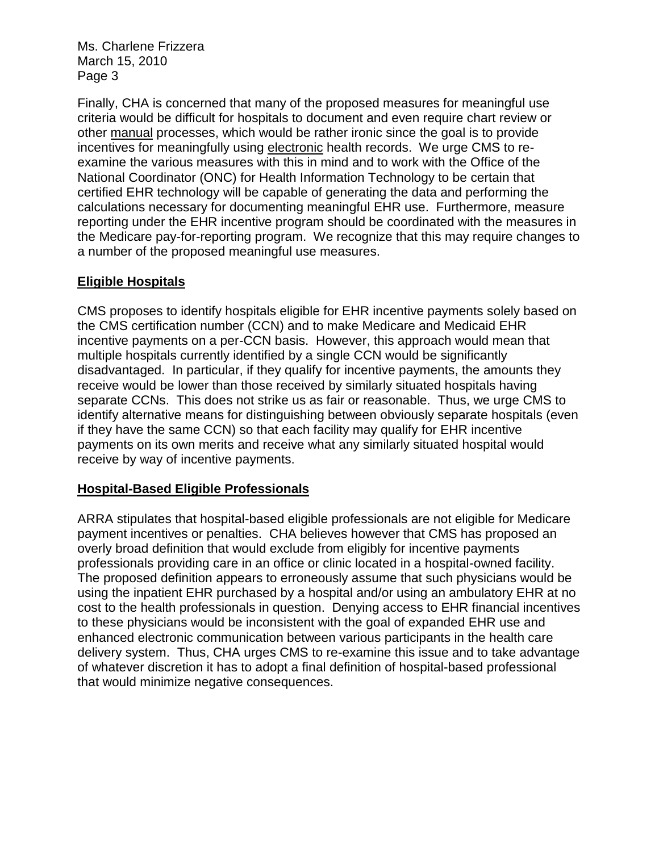Finally, CHA is concerned that many of the proposed measures for meaningful use criteria would be difficult for hospitals to document and even require chart review or other manual processes, which would be rather ironic since the goal is to provide incentives for meaningfully using electronic health records. We urge CMS to reexamine the various measures with this in mind and to work with the Office of the National Coordinator (ONC) for Health Information Technology to be certain that certified EHR technology will be capable of generating the data and performing the calculations necessary for documenting meaningful EHR use. Furthermore, measure reporting under the EHR incentive program should be coordinated with the measures in the Medicare pay-for-reporting program. We recognize that this may require changes to a number of the proposed meaningful use measures.

# **Eligible Hospitals**

CMS proposes to identify hospitals eligible for EHR incentive payments solely based on the CMS certification number (CCN) and to make Medicare and Medicaid EHR incentive payments on a per-CCN basis. However, this approach would mean that multiple hospitals currently identified by a single CCN would be significantly disadvantaged. In particular, if they qualify for incentive payments, the amounts they receive would be lower than those received by similarly situated hospitals having separate CCNs. This does not strike us as fair or reasonable. Thus, we urge CMS to identify alternative means for distinguishing between obviously separate hospitals (even if they have the same CCN) so that each facility may qualify for EHR incentive payments on its own merits and receive what any similarly situated hospital would receive by way of incentive payments.

# **Hospital-Based Eligible Professionals**

ARRA stipulates that hospital-based eligible professionals are not eligible for Medicare payment incentives or penalties. CHA believes however that CMS has proposed an overly broad definition that would exclude from eligibly for incentive payments professionals providing care in an office or clinic located in a hospital-owned facility. The proposed definition appears to erroneously assume that such physicians would be using the inpatient EHR purchased by a hospital and/or using an ambulatory EHR at no cost to the health professionals in question. Denying access to EHR financial incentives to these physicians would be inconsistent with the goal of expanded EHR use and enhanced electronic communication between various participants in the health care delivery system. Thus, CHA urges CMS to re-examine this issue and to take advantage of whatever discretion it has to adopt a final definition of hospital-based professional that would minimize negative consequences.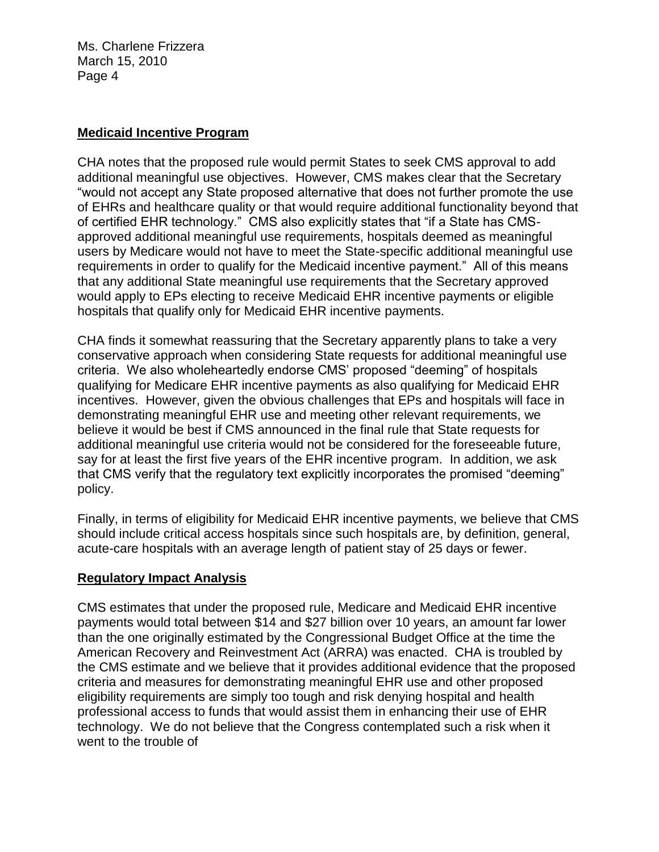## **Medicaid Incentive Program**

CHA notes that the proposed rule would permit States to seek CMS approval to add additional meaningful use objectives. However, CMS makes clear that the Secretary "would not accept any State proposed alternative that does not further promote the use of EHRs and healthcare quality or that would require additional functionality beyond that of certified EHR technology." CMS also explicitly states that "if a State has CMSapproved additional meaningful use requirements, hospitals deemed as meaningful users by Medicare would not have to meet the State-specific additional meaningful use requirements in order to qualify for the Medicaid incentive payment." All of this means that any additional State meaningful use requirements that the Secretary approved would apply to EPs electing to receive Medicaid EHR incentive payments or eligible hospitals that qualify only for Medicaid EHR incentive payments.

CHA finds it somewhat reassuring that the Secretary apparently plans to take a very conservative approach when considering State requests for additional meaningful use criteria. We also wholeheartedly endorse CMS' proposed "deeming" of hospitals qualifying for Medicare EHR incentive payments as also qualifying for Medicaid EHR incentives. However, given the obvious challenges that EPs and hospitals will face in demonstrating meaningful EHR use and meeting other relevant requirements, we believe it would be best if CMS announced in the final rule that State requests for additional meaningful use criteria would not be considered for the foreseeable future, say for at least the first five years of the EHR incentive program. In addition, we ask that CMS verify that the regulatory text explicitly incorporates the promised "deeming" policy.

Finally, in terms of eligibility for Medicaid EHR incentive payments, we believe that CMS should include critical access hospitals since such hospitals are, by definition, general, acute-care hospitals with an average length of patient stay of 25 days or fewer.

## **Regulatory Impact Analysis**

CMS estimates that under the proposed rule, Medicare and Medicaid EHR incentive payments would total between \$14 and \$27 billion over 10 years, an amount far lower than the one originally estimated by the Congressional Budget Office at the time the American Recovery and Reinvestment Act (ARRA) was enacted. CHA is troubled by the CMS estimate and we believe that it provides additional evidence that the proposed criteria and measures for demonstrating meaningful EHR use and other proposed eligibility requirements are simply too tough and risk denying hospital and health professional access to funds that would assist them in enhancing their use of EHR technology. We do not believe that the Congress contemplated such a risk when it went to the trouble of